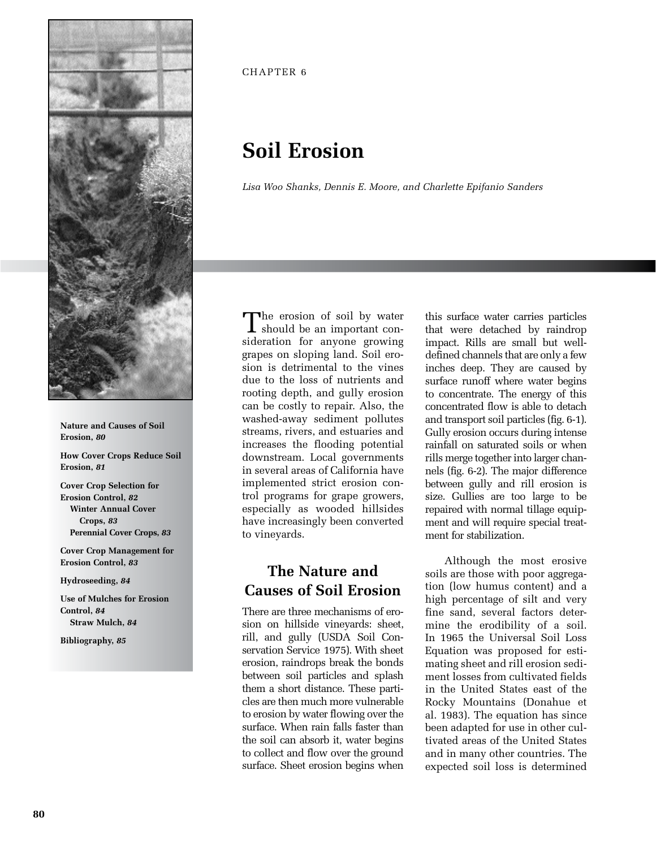

**Nature and Causes of Soil Erosion,** *80*

**How Cover Crops Reduce Soil Erosion,** *81*

**Cover Crop Selection for Erosion Control,** *82* **Winter Annual Cover Crops,** *83* **Perennial Cover Crops,** *83*

**Cover Crop Management for Erosion Control,** *83*

**Hydroseeding,** *84*

**Use of Mulches for Erosion Control,** *84* **Straw Mulch,** *84*

**Bibliography,** *85*

CHAPTER 6

# **Soil Erosion**

*Lisa Woo Shanks, Dennis E. Moore, and Charlette Epifanio Sanders*

The erosion of soil by water<br>should be an important consideration for anyone growing grapes on sloping land. Soil erosion is detrimental to the vines due to the loss of nutrients and rooting depth, and gully erosion can be costly to repair. Also, the washed-away sediment pollutes streams, rivers, and estuaries and increases the flooding potential downstream. Local governments in several areas of California have implemented strict erosion control programs for grape growers, especially as wooded hillsides have increasingly been converted to vineyards.

## **The Nature and Causes of Soil Erosion**

There are three mechanisms of erosion on hillside vineyards: sheet, rill, and gully (USDA Soil Conservation Service 1975). With sheet erosion, raindrops break the bonds between soil particles and splash them a short distance. These particles are then much more vulnerable to erosion by water flowing over the surface. When rain falls faster than the soil can absorb it, water begins to collect and flow over the ground surface. Sheet erosion begins when

this surface water carries particles that were detached by raindrop impact. Rills are small but welldefined channels that are only a few inches deep. They are caused by surface runoff where water begins to concentrate. The energy of this concentrated flow is able to detach and transport soil particles (fig. 6-1). Gully erosion occurs during intense rainfall on saturated soils or when rills merge together into larger channels (fig. 6-2). The major difference between gully and rill erosion is size. Gullies are too large to be repaired with normal tillage equipment and will require special treatment for stabilization.

Although the most erosive soils are those with poor aggregation (low humus content) and a high percentage of silt and very fine sand, several factors determine the erodibility of a soil. In 1965 the Universal Soil Loss Equation was proposed for estimating sheet and rill erosion sediment losses from cultivated fields in the United States east of the Rocky Mountains (Donahue et al. 1983). The equation has since been adapted for use in other cultivated areas of the United States and in many other countries. The expected soil loss is determined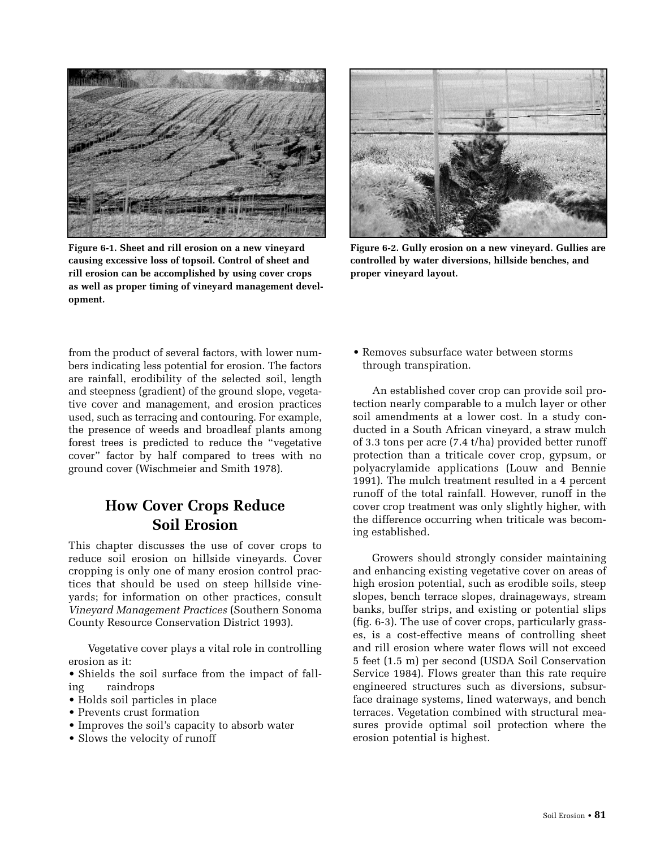

**Figure 6-1. Sheet and rill erosion on a new vineyard causing excessive loss of topsoil. Control of sheet and rill erosion can be accomplished by using cover crops as well as proper timing of vineyard management development.**



**Figure 6-2. Gully erosion on a new vineyard. Gullies are controlled by water diversions, hillside benches, and proper vineyard layout.**

from the product of several factors, with lower numbers indicating less potential for erosion. The factors are rainfall, erodibility of the selected soil, length and steepness (gradient) of the ground slope, vegetative cover and management, and erosion practices used, such as terracing and contouring. For example, the presence of weeds and broadleaf plants among forest trees is predicted to reduce the "vegetative cover" factor by half compared to trees with no ground cover (Wischmeier and Smith 1978).

### **How Cover Crops Reduce Soil Erosion**

This chapter discusses the use of cover crops to reduce soil erosion on hillside vineyards. Cover cropping is only one of many erosion control practices that should be used on steep hillside vineyards; for information on other practices, consult *Vineyard Management Practices* (Southern Sonoma County Resource Conservation District 1993).

Vegetative cover plays a vital role in controlling erosion as it:

• Shields the soil surface from the impact of falling raindrops

- Holds soil particles in place
- Prevents crust formation
- Improves the soil's capacity to absorb water
- Slows the velocity of runoff

• Removes subsurface water between storms through transpiration.

An established cover crop can provide soil protection nearly comparable to a mulch layer or other soil amendments at a lower cost. In a study conducted in a South African vineyard, a straw mulch of 3.3 tons per acre (7.4 t/ha) provided better runoff protection than a triticale cover crop, gypsum, or polyacrylamide applications (Louw and Bennie 1991). The mulch treatment resulted in a 4 percent runoff of the total rainfall. However, runoff in the cover crop treatment was only slightly higher, with the difference occurring when triticale was becoming established.

Growers should strongly consider maintaining and enhancing existing vegetative cover on areas of high erosion potential, such as erodible soils, steep slopes, bench terrace slopes, drainageways, stream banks, buffer strips, and existing or potential slips (fig. 6-3). The use of cover crops, particularly grasses, is a cost-effective means of controlling sheet and rill erosion where water flows will not exceed 5 feet (1.5 m) per second (USDA Soil Conservation Service 1984). Flows greater than this rate require engineered structures such as diversions, subsurface drainage systems, lined waterways, and bench terraces. Vegetation combined with structural measures provide optimal soil protection where the erosion potential is highest.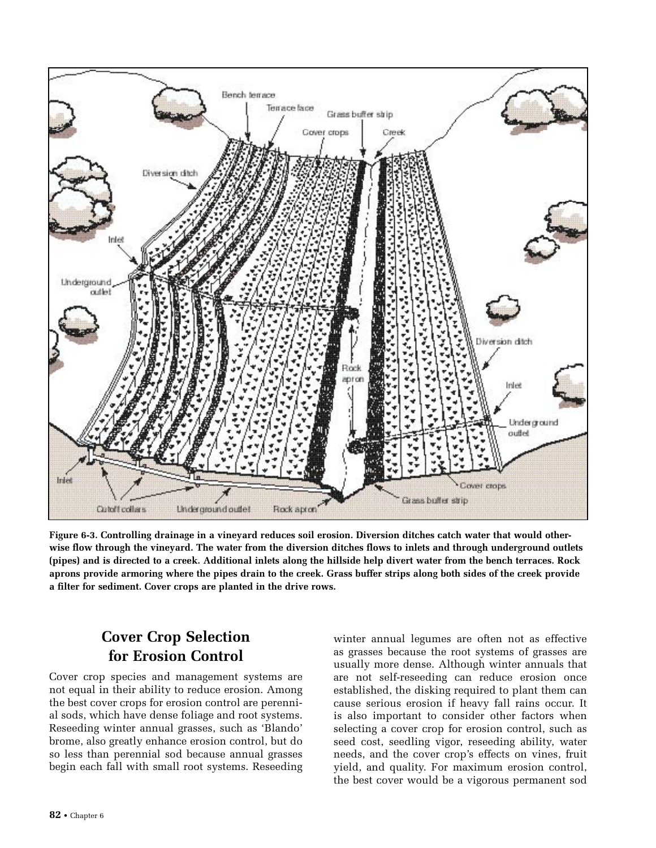

**Figure 6-3. Controlling drainage in a vineyard reduces soil erosion. Diversion ditches catch water that would otherwise flow through the vineyard. The water from the diversion ditches flows to inlets and through underground outlets (pipes) and is directed to a creek. Additional inlets along the hillside help divert water from the bench terraces. Rock aprons provide armoring where the pipes drain to the creek. Grass buffer strips along both sides of the creek provide a filter for sediment. Cover crops are planted in the drive rows.**

## **Cover Crop Selection for Erosion Control**

Cover crop species and management systems are not equal in their ability to reduce erosion. Among the best cover crops for erosion control are perennial sods, which have dense foliage and root systems. Reseeding winter annual grasses, such as 'Blando' brome, also greatly enhance erosion control, but do so less than perennial sod because annual grasses begin each fall with small root systems. Reseeding

winter annual legumes are often not as effective as grasses because the root systems of grasses are usually more dense. Although winter annuals that are not self-reseeding can reduce erosion once established, the disking required to plant them can cause serious erosion if heavy fall rains occur. It is also important to consider other factors when selecting a cover crop for erosion control, such as seed cost, seedling vigor, reseeding ability, water needs, and the cover crop's effects on vines, fruit yield, and quality. For maximum erosion control, the best cover would be a vigorous permanent sod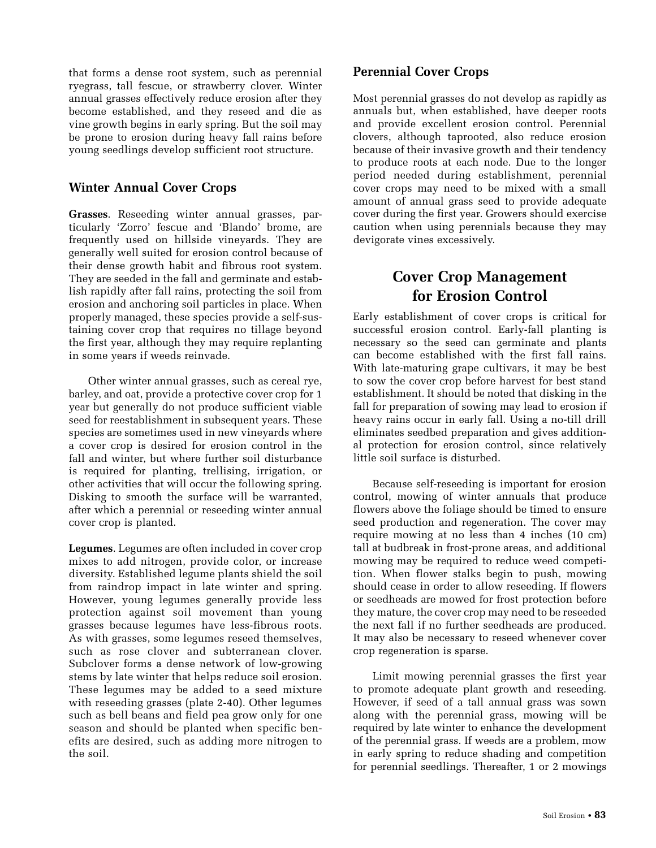that forms a dense root system, such as perennial ryegrass, tall fescue, or strawberry clover. Winter annual grasses effectively reduce erosion after they become established, and they reseed and die as vine growth begins in early spring. But the soil may be prone to erosion during heavy fall rains before young seedlings develop sufficient root structure.

#### **Winter Annual Cover Crops**

**Grasses**. Reseeding winter annual grasses, particularly 'Zorro' fescue and 'Blando' brome, are frequently used on hillside vineyards. They are generally well suited for erosion control because of their dense growth habit and fibrous root system. They are seeded in the fall and germinate and establish rapidly after fall rains, protecting the soil from erosion and anchoring soil particles in place. When properly managed, these species provide a self-sustaining cover crop that requires no tillage beyond the first year, although they may require replanting in some years if weeds reinvade.

Other winter annual grasses, such as cereal rye, barley, and oat, provide a protective cover crop for 1 year but generally do not produce sufficient viable seed for reestablishment in subsequent years. These species are sometimes used in new vineyards where a cover crop is desired for erosion control in the fall and winter, but where further soil disturbance is required for planting, trellising, irrigation, or other activities that will occur the following spring. Disking to smooth the surface will be warranted, after which a perennial or reseeding winter annual cover crop is planted.

**Legumes**. Legumes are often included in cover crop mixes to add nitrogen, provide color, or increase diversity. Established legume plants shield the soil from raindrop impact in late winter and spring. However, young legumes generally provide less protection against soil movement than young grasses because legumes have less-fibrous roots. As with grasses, some legumes reseed themselves, such as rose clover and subterranean clover. Subclover forms a dense network of low-growing stems by late winter that helps reduce soil erosion. These legumes may be added to a seed mixture with reseeding grasses (plate 2-40). Other legumes such as bell beans and field pea grow only for one season and should be planted when specific benefits are desired, such as adding more nitrogen to the soil.

#### **Perennial Cover Crops**

Most perennial grasses do not develop as rapidly as annuals but, when established, have deeper roots and provide excellent erosion control. Perennial clovers, although taprooted, also reduce erosion because of their invasive growth and their tendency to produce roots at each node. Due to the longer period needed during establishment, perennial cover crops may need to be mixed with a small amount of annual grass seed to provide adequate cover during the first year. Growers should exercise caution when using perennials because they may devigorate vines excessively.

## **Cover Crop Management for Erosion Control**

Early establishment of cover crops is critical for successful erosion control. Early-fall planting is necessary so the seed can germinate and plants can become established with the first fall rains. With late-maturing grape cultivars, it may be best to sow the cover crop before harvest for best stand establishment. It should be noted that disking in the fall for preparation of sowing may lead to erosion if heavy rains occur in early fall. Using a no-till drill eliminates seedbed preparation and gives additional protection for erosion control, since relatively little soil surface is disturbed.

Because self-reseeding is important for erosion control, mowing of winter annuals that produce flowers above the foliage should be timed to ensure seed production and regeneration. The cover may require mowing at no less than 4 inches (10 cm) tall at budbreak in frost-prone areas, and additional mowing may be required to reduce weed competition. When flower stalks begin to push, mowing should cease in order to allow reseeding. If flowers or seedheads are mowed for frost protection before they mature, the cover crop may need to be reseeded the next fall if no further seedheads are produced. It may also be necessary to reseed whenever cover crop regeneration is sparse.

Limit mowing perennial grasses the first year to promote adequate plant growth and reseeding. However, if seed of a tall annual grass was sown along with the perennial grass, mowing will be required by late winter to enhance the development of the perennial grass. If weeds are a problem, mow in early spring to reduce shading and competition for perennial seedlings. Thereafter, 1 or 2 mowings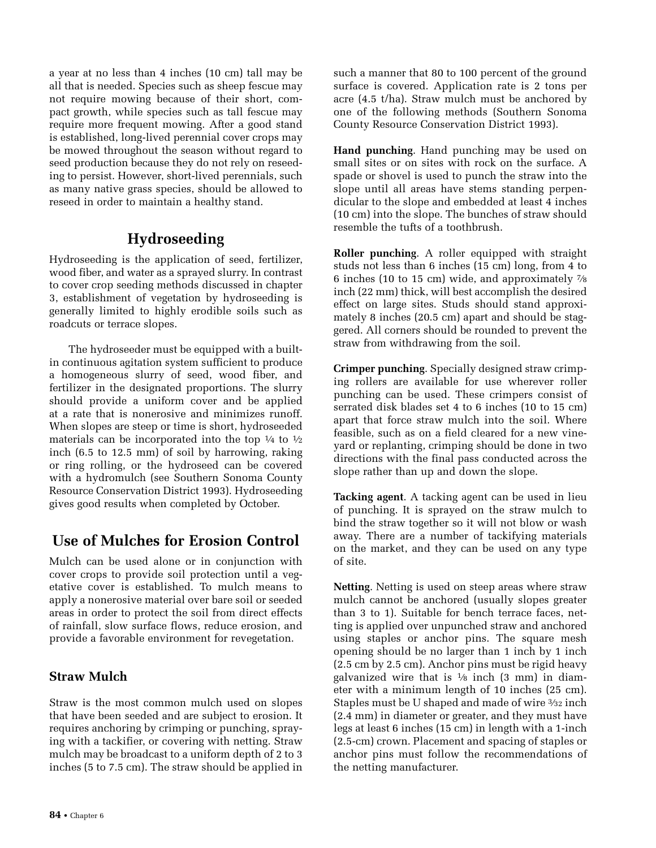a year at no less than 4 inches (10 cm) tall may be all that is needed. Species such as sheep fescue may not require mowing because of their short, compact growth, while species such as tall fescue may require more frequent mowing. After a good stand is established, long-lived perennial cover crops may be mowed throughout the season without regard to seed production because they do not rely on reseeding to persist. However, short-lived perennials, such as many native grass species, should be allowed to reseed in order to maintain a healthy stand.

#### **Hydroseeding**

Hydroseeding is the application of seed, fertilizer, wood fiber, and water as a sprayed slurry. In contrast to cover crop seeding methods discussed in chapter 3, establishment of vegetation by hydroseeding is generally limited to highly erodible soils such as roadcuts or terrace slopes.

The hydroseeder must be equipped with a builtin continuous agitation system sufficient to produce a homogeneous slurry of seed, wood fiber, and fertilizer in the designated proportions. The slurry should provide a uniform cover and be applied at a rate that is nonerosive and minimizes runoff. When slopes are steep or time is short, hydroseeded materials can be incorporated into the top  $\frac{1}{4}$  to  $\frac{1}{2}$ inch (6.5 to 12.5 mm) of soil by harrowing, raking or ring rolling, or the hydroseed can be covered with a hydromulch (see Southern Sonoma County Resource Conservation District 1993). Hydroseeding gives good results when completed by October.

## **Use of Mulches for Erosion Control**

Mulch can be used alone or in conjunction with cover crops to provide soil protection until a vegetative cover is established. To mulch means to apply a nonerosive material over bare soil or seeded areas in order to protect the soil from direct effects of rainfall, slow surface flows, reduce erosion, and provide a favorable environment for revegetation.

#### **Straw Mulch**

Straw is the most common mulch used on slopes that have been seeded and are subject to erosion. It requires anchoring by crimping or punching, spraying with a tackifier, or covering with netting. Straw mulch may be broadcast to a uniform depth of 2 to 3 inches (5 to 7.5 cm). The straw should be applied in such a manner that 80 to 100 percent of the ground surface is covered. Application rate is 2 tons per acre (4.5 t/ha). Straw mulch must be anchored by one of the following methods (Southern Sonoma County Resource Conservation District 1993).

**Hand punching**. Hand punching may be used on small sites or on sites with rock on the surface. A spade or shovel is used to punch the straw into the slope until all areas have stems standing perpendicular to the slope and embedded at least 4 inches (10 cm) into the slope. The bunches of straw should resemble the tufts of a toothbrush.

**Roller punching**. A roller equipped with straight studs not less than 6 inches (15 cm) long, from 4 to 6 inches (10 to 15 cm) wide, and approximately 7⁄8 inch (22 mm) thick, will best accomplish the desired effect on large sites. Studs should stand approximately 8 inches (20.5 cm) apart and should be staggered. All corners should be rounded to prevent the straw from withdrawing from the soil.

**Crimper punching**. Specially designed straw crimping rollers are available for use wherever roller punching can be used. These crimpers consist of serrated disk blades set 4 to 6 inches (10 to 15 cm) apart that force straw mulch into the soil. Where feasible, such as on a field cleared for a new vineyard or replanting, crimping should be done in two directions with the final pass conducted across the slope rather than up and down the slope.

**Tacking agent**. A tacking agent can be used in lieu of punching. It is sprayed on the straw mulch to bind the straw together so it will not blow or wash away. There are a number of tackifying materials on the market, and they can be used on any type of site.

**Netting**. Netting is used on steep areas where straw mulch cannot be anchored (usually slopes greater than 3 to 1). Suitable for bench terrace faces, netting is applied over unpunched straw and anchored using staples or anchor pins. The square mesh opening should be no larger than 1 inch by 1 inch (2.5 cm by 2.5 cm). Anchor pins must be rigid heavy galvanized wire that is  $\frac{1}{8}$  inch (3 mm) in diameter with a minimum length of 10 inches (25 cm). Staples must be U shaped and made of wire 3⁄32 inch (2.4 mm) in diameter or greater, and they must have legs at least 6 inches (15 cm) in length with a 1-inch (2.5-cm) crown. Placement and spacing of staples or anchor pins must follow the recommendations of the netting manufacturer.